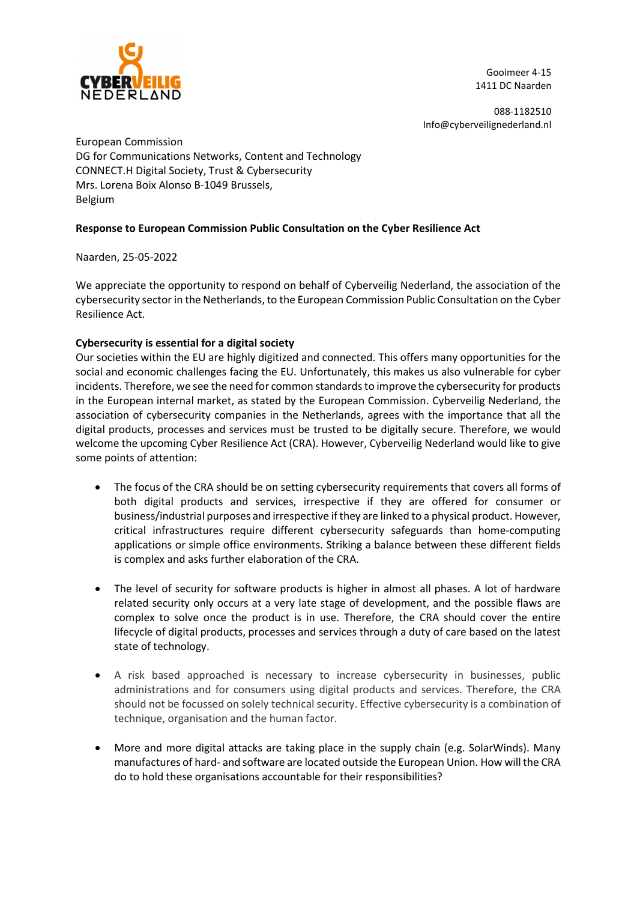

Gooimeer 4-15 1411 DC Naarden

088-1182510 Info@cyberveilignederland.nl

European Commission DG for Communications Networks, Content and Technology CONNECT.H Digital Society, Trust & Cybersecurity Mrs. Lorena Boix Alonso B-1049 Brussels, Belgium

## Response to European Commission Public Consultation on the Cyber Resilience Act

Naarden, 25-05-2022

We appreciate the opportunity to respond on behalf of Cyberveilig Nederland, the association of the cybersecurity sector in the Netherlands, to the European Commission Public Consultation on the Cyber Resilience Act.

## Cybersecurity is essential for a digital society

Our societies within the EU are highly digitized and connected. This offers many opportunities for the social and economic challenges facing the EU. Unfortunately, this makes us also vulnerable for cyber incidents. Therefore, we see the need for common standards to improve the cybersecurity for products in the European internal market, as stated by the European Commission. Cyberveilig Nederland, the association of cybersecurity companies in the Netherlands, agrees with the importance that all the digital products, processes and services must be trusted to be digitally secure. Therefore, we would welcome the upcoming Cyber Resilience Act (CRA). However, Cyberveilig Nederland would like to give some points of attention:

- The focus of the CRA should be on setting cybersecurity requirements that covers all forms of both digital products and services, irrespective if they are offered for consumer or business/industrial purposes and irrespective if they are linked to a physical product. However, critical infrastructures require different cybersecurity safeguards than home-computing applications or simple office environments. Striking a balance between these different fields is complex and asks further elaboration of the CRA.
- The level of security for software products is higher in almost all phases. A lot of hardware related security only occurs at a very late stage of development, and the possible flaws are complex to solve once the product is in use. Therefore, the CRA should cover the entire lifecycle of digital products, processes and services through a duty of care based on the latest state of technology.
- A risk based approached is necessary to increase cybersecurity in businesses, public administrations and for consumers using digital products and services. Therefore, the CRA should not be focussed on solely technical security. Effective cybersecurity is a combination of technique, organisation and the human factor.
- More and more digital attacks are taking place in the supply chain (e.g. SolarWinds). Many manufactures of hard- and software are located outside the European Union. How will the CRA do to hold these organisations accountable for their responsibilities?